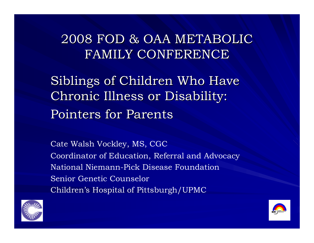#### 2008 FOD & OAA METABOLIC 2008 FOD & OAA METABOLICFAMILY CONFERENCE

Siblings of Children Who Have Chronic Illness or Disability: Chronic Illness or Disability: Pointers for Parents

Cate Walsh Vockley, MS, CGC Coordinator of Education, Referral and Advocacy National Niemann-Pick Disease Foundation Senior Genetic CounselorChildren's Hospital of Pittsburgh/UPMC



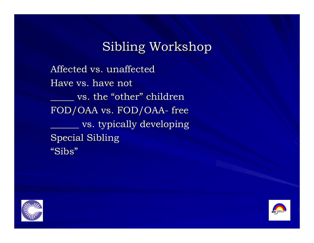Affected vs. unaffected Have vs. have not  $\rule{1em}{0.15mm}$  vs. the "other " children FOD/OAA vs. FOD/OAA - free vs. typically developing Special Sibling "Sibs "



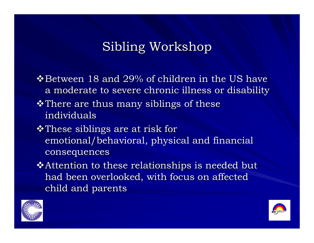$\triangle$  Between 18 and 29% of children in the US have a moderate to severe chronic illness or disability  $\cdot$ There are thus many siblings of these individuals  $\cdot$ These siblings are at risk for emotional/behavioral, physical and financial consequences

 $\triangle$ Attention to these relationships is needed but had been overlooked, with focus on affected child and parents



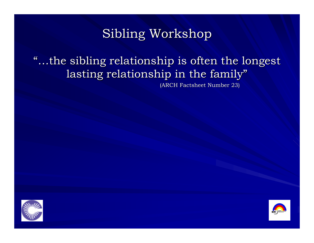#### "...the sibling relationship is often the longest lasting relationship in the family"

(ARCH Factsheet Number 23)



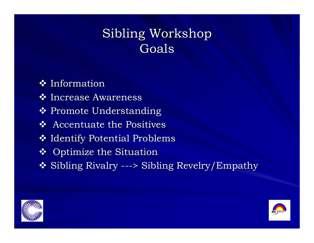#### Sibling Workshop Goals

 $\div$  Information ❖ Increase Awareness ❖ Promote Understanding  $\triangleleft$  Accentuate the Positives  $\clubsuit$  Identify Potential Problems ❖ Optimize the Situation ❖ Sibling Rivalry ---> Sibling Revelry/Empathy



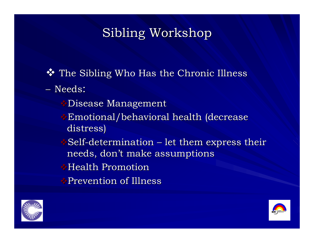$\clubsuit$  The Sibling Who Has the Chronic Illness

– Needs:

- **Disease Management**
- $\rightarrow$ Emotional/behavioral health (decrease distress) distress)
- $\bullet$  Self-determination – let them express their  $\,$ needs, don't make assumptions
- $\blacklozenge$ Health Promotion
- Prevention of Illness Prevention of Illness



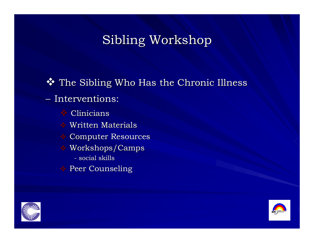$\clubsuit$  The Sibling Who Has the Chronic Illness – Interventions: Clinicians Clinicians  $\triangle$  Written Materials **Computer Resources**  $\bullet$  Workshops/Camps - social skills

**Peer Counseling** 



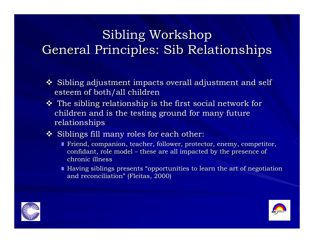# Sibling Workshop General Principles: Sib Relationships

- $\boldsymbol{\hat{*}}$  Sibling adjustment impacts overall adjustment and self esteem of both/all children
- $\boldsymbol{\hat{v}}$  The sibling relationship is the first social network for  $\boldsymbol{\hat{v}}$ children and is the testing ground for many future relationships
- $\clubsuit$  Siblings fill many roles for each other:
	- Friend, companion, teacher, follower, protector, enemy, competitor,  $\blacksquare$ confidant, role model – these are all impacted by the presence of chronic illness
	- Having siblings presents "opportunities to learn the art of negotiation  $\overline{\phantom{a}}$ and reconciliation " (Fleitas, 2000) <sub>,</sub>



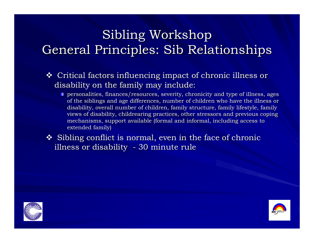# Sibling Workshop General Principles: Sib Relationships

- $\boldsymbol{\cdot}$  Critical factors influencing impact of chronic illness or  $\boldsymbol{\cdot}$ disability on the family may include:
	- $\blacksquare$  personalities, finances/resources, severity, chronicity and type of illness, ages of the siblings and age differences, number of children who have the illness or disability, overall number of children, family structure, family lifestyle, family views of disability, childrearing practices, other stressors and previous coping mechanisms, support available (formal and informal, including access to extended family) extended family)
- $\clubsuit$  Sibling conflict is normal, even in the face of chronic illness or disability - 30 minute rule



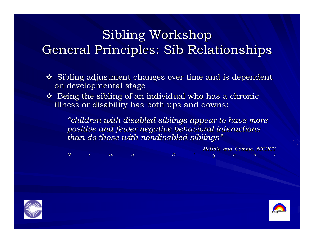# Sibling Workshop General Principles: Sib Relationships

- $\boldsymbol{\hat{*}}$  Sibling adjustment changes over time and is dependent on developmental stage
- $\clubsuit$  Being the sibling of an individual who has a chronic illness or disability has both ups and downs:

*"children with disabled siblings appear to have more children with disabled siblings appear to have more positive and fewer negative behavioral interactions positive and fewer negative behavioral interactions than do those with nondisabled siblings than do those with nondisabled siblings "*

*McHale and Gamble. NICHCY McHale and Gamble. NICHCY News Digest News Digest*



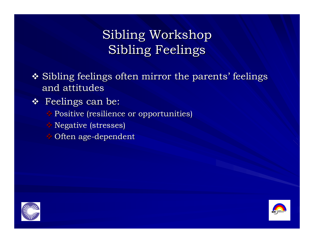# Sibling Workshop Sibling Feelings

- $\clubsuit$  Sibling feelings often mirror the parents' feelings and attitudes
- $\mathbf{\hat{*}}$  Feelings can be:
	- Positive (resilience or opportunities) Positive (resilience or opportunities)
	- $\triangle$  Negative (stresses)
	- $\bullet$  Often age-dependent



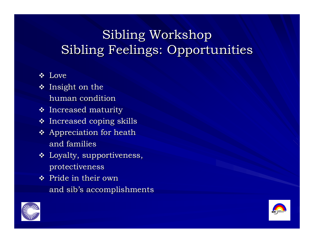# Sibling Workshop Sibling Feelings: Opportunities

- ❖ Love
- $\boldsymbol{\cdot}$  Insight on the  $\boldsymbol{\cdot}$ human condition
- $\boldsymbol{\cdot}$  Increased maturity
- $\boldsymbol{\cdot\!\!\!\cdot}\!$  Increased coping skills
- $\boldsymbol{\hat{z}}$  Appreciation for heath and families
- $\boldsymbol{\cdot}$  Loyalty, supportiveness, protectiveness protectiveness
- $\mathbf{\hat{P}}$  Pride in their own and sib's accomplishments



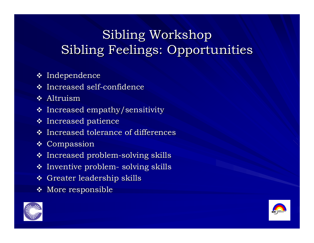# Sibling Workshop Sibling Feelings: Opportunities

- $\boldsymbol{\div}$  Independence
- $\boldsymbol{\dot{*}}$  Increased self-confidence
- ❖ Altruism
- $\boldsymbol{\cdot}$  Increased empathy/sensitivity
- $\boldsymbol{\cdot\!\!\!\cdot}$  Increased patience
- $\boldsymbol{\cdot}$  Increased tolerance of differences
- $\mathbf \bullet$  Compassion
- $\boldsymbol{\cdot}$  Increased problem-solving skills
- $\boldsymbol{\cdot}$  Inventive problem-- solving skills
- $\boldsymbol{\cdot}$  Greater leadership skills
- $\boldsymbol{\cdot\!\!\!\cdot}\!$  More responsible



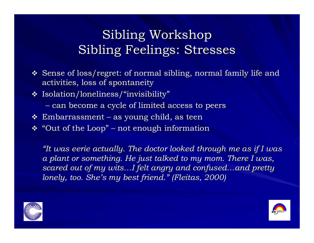- $\boldsymbol{\hat{B}}$  Sense of loss/regret: of normal sibling, normal family life and activities, loss of spontaneity
- $\boldsymbol{\cdot}$  Isolation/loneliness/"invisibility"
	- can become a cycle of limited access to peers
- $\boldsymbol{\dot{*}}$  Embarrassment – as young child, as teen
- $\boldsymbol{\dot{*}}$  "Out of the Loop" –– not enough information

*"It was eerie actually. The doctor looked through me as if I was a plant or something. He just talked to my mom. There I was,*  $s\alpha$ red out of my wits…I felt angry and confused…and pretty  $\alpha$ *lonely, too. She lonely, too. She's my best friend. s my best friend. "(Fleitas Fleitas, 2000) , 2000)*



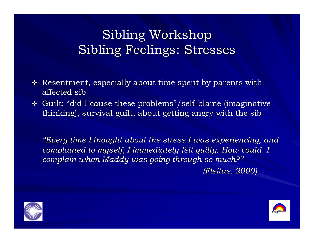- $\boldsymbol{\hat{B}}$  Resentment, especially about time spent by parents with affected sib
- $\bm{\cdot}$  Guilt: "did I cause these problems"/self-blame (imaginative thinking), survival guilt, about getting angry with the sib

*"Every time I thought about the stress I was experiencing, and complained to myself, I immediately felt guilty. How could I complained to myself, I immediately felt guilty. How could I complain when complain when Maddy was going through so much? was going through so much? "(Fleitas Fleitas, 2000) , 2000)*



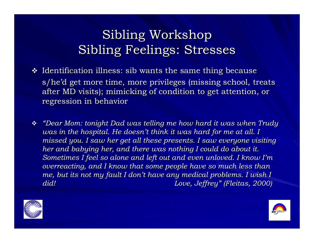- $\boldsymbol{\cdot}$  Identification illness: sib wants the same thing because s/he'd get more time, more privileges (missing school, treats after MD visits); mimicking of condition to get attention, or regression in behavior regression in behavior
- *"Dear Mom: tonight Dad was telling me how hard it was when Trudy Dear Mom: Dad was telling me how hard it was when Trudy was in the hospital. He doesn't think it was hard for me at all. I missed you. I saw her get all these presents. I saw everyone visiting her and babying her, and there was nothing I could do about it. Sometimes I feel so alone and left out and even unloved. I know I'm overreacting, and I know that some people have so much less than me, but its not my fault I don't have any medical problems. I wish I did! Love, Jeffrey Love, Jeffrey "(Fleitas Fleitas, 2000) , 2000)*



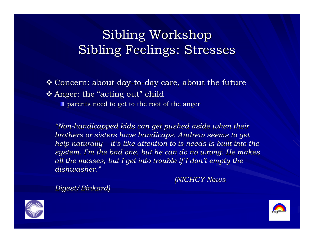#### $\boldsymbol{\div}$  Concern: about day-to-day care, about the future  $\boldsymbol{\div}$  Anger: the "acting out" child  $\blacksquare$  parents need to get to the root of the anger

*"Non -handicapped kids can get pushed aside when their handicapped kids can get pushed aside when their brothers or sisters have handicaps. Andrew seems to get help naturally help naturally – it's like attention to is needs is built into the s like attention to is needs is built into the system. I'm the bad one, but he can do no wrong. He makes all the messes, but I get into trouble if I don't empty the dishwasher. dishwasher."*

*(NICHCY News (NICHCY News* 

 $Digest/Binkard$ 



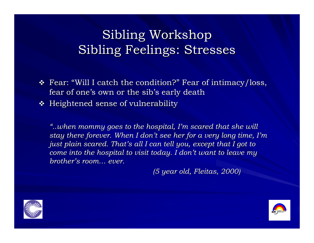$\div$  Fear: "Will I catch the condition?  $\mathrm{''}$  Fear of intimacy/loss,  $\mathrm{''}$ fear of one's own or the sib's early death

 $\boldsymbol{\cdot}$  Heightened sense of vulnerability

*"..when mommy goes to the hospital, I ..when mommy goes to the hospital, I'm scared that she will m scared that she will stay there forever. When I don't see her for a very long time, I'm just plain scared. That's all I can tell you, except that I got to come into the hospital to visit today. I don't want to leave my brother brother's room… ever.* 

*(5 year old, (5 year old, Fleitas Fleitas, 2000) , 2000)*



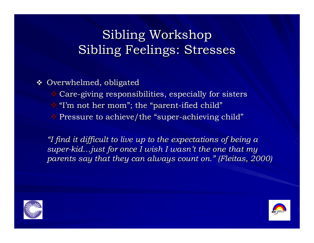$\boldsymbol{\cdot\!\!\!\cdot}$  Overwhelmed, obligated

- $\bullet$  Care-giving responsibilities, especially for sisters
- "I'm not her mom "; the "parent -ified child "
- $\bullet$  Pressure to achieve/the "super-achieving child"

*"I find it difficult to live up to the expectations of being a I find it difficult to live up to the expectations of being a super-kid …just for once I wish I wasn just for once I wish I wasn't the one that my t the one that my parents say that they can always count on. parents say that they can always count on. "(Fleitas Fleitas, 2000) , 2000)*



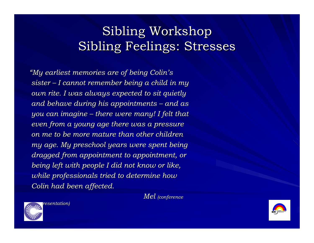*"My earliest memories are of being Colin My earliest memories are of being Colin's sister – I cannot remember being a child in my I cannot remember being a child in my own rite. I was always expected to sit quietly own rite. I was always expected to sit quietly and behave during his appointments and behave during his appointments – and as you can imagine you can imagine – there were many! I felt that there were many! I felt that even from a young age there was a pressure even from a young age there was a pressure on me to be more mature than other children on me to be more mature than other children my age. My preschool years were spent being my age. My preschool years were spent being dragged from appointment to appointment, or being left with people I did not know or like, being left with people I did not know or like, while professionals tried to determine how Colin had been affected. Colin had been affected.*

*Mel (conference* 





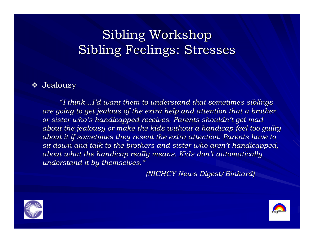#### $\boldsymbol{\cdot}$  Jealousy

"I think…I'd want them to understand that sometimes siblings *are going to get jealous of the extra help and attention that a brother or sister who's handicapped receives. Parents shouldn't get mad about the jealousy or make the kids without a handicap feel too guilty about it if sometimes they resent the extra attention. Parents have to sit down and talk to the brothers and sister who aren sit down and talk to the brothers and sister who aren't handicapped, t handicapped, about what the handicap really means. Kids don't automatically understand it by themselves. understand it by themselves. "*

*(NICHCY News Digest/ (NICHCY News Digest/Binkard Binkard)*



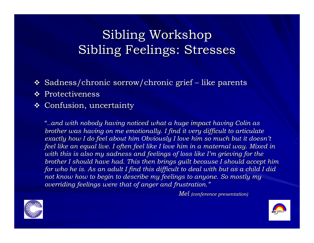- ❖  $\boldsymbol{\cdot}$  Sadness/chronic sorrow/chronic grief  $\boldsymbol{\cdot}$ – like parents
- $\mathbf \Phi$  Protectiveness
- $\boldsymbol{\hat{z}}$  Confusion, uncertainty

"*..and with nobody having noticed ..and with nobody having noticed what a huge impact having Colin what a huge impact having Colin as brother was having on me emotionally. I find it very difficult to articulate exactly how I do feel about him Obviously I love him so much but it doesn't feel like an equal live. I often feel like I love him in a maternal way. Mixed in* with this is also my sadness and feelings of loss like I'm grieving for the *brother I should have had. This then brings quilt because I should accept him for who he is. As an adult I find this difficult to deal with but as a child I did not know how to begin to describe my feelings to anyone. So mostly my overriding feelings were that of anger and frustration."* 

*Mel (conference presentation) (conference presentation)*



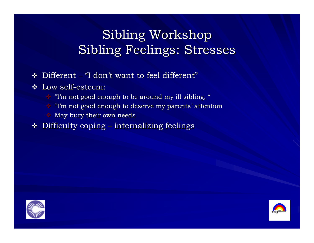- $\bf \bullet \;$  Different "I don't want to feel different"
- $\boldsymbol{\hat{v}}$  Low self-esteem:
	- $\mathbf{\hat{y}}$  "I'm not good enough to be around my ill sibling, "
	- $^*$  "I'm not good enough to deserve my parents' attention
	- $\bullet$  May bury their own needs
- $\boldsymbol{\cdot\!\!\!\cdot}\!$  Difficulty coping – internalizing feelings



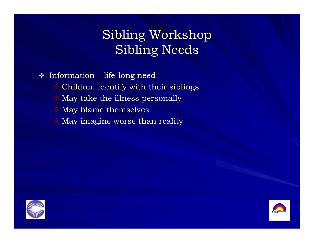$\boldsymbol{\cdot}$  Information – life-long need Children identify with their siblings Children identify with their siblings  $\bullet$  May take the illness personally  $\triangle$  May blame themselves  $\triangle$  May imagine worse than reality



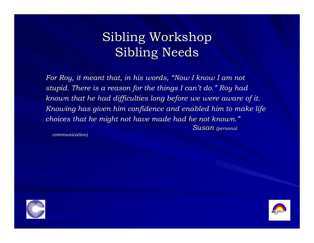*For Roy, it meant that, in his words, For Roy, it meant that, in his words, "Now I know I am not Now I know I am not stupid. There is a reason for the things I can stupid. There is a reason for the things I can't do. " Roy had Roy had known that he had difficulties long before we were aware of it. known that he had difficulties long before we were aware of it. Knowing has given him confidence and enabled him to make life choices that he might not have made had he not known." Susan (personal (personal* 

*communication) communication)*



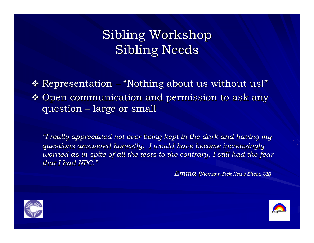$\triangleleft$  Representation  $\triangleleft$ – "Nothing about us without us!"  $\clubsuit$  Open communication and permission to ask any question  $\cdot$ –– large or small

*"I really appreciated not ever being kept in the dark and having my questions answered honestly. I would have become increasingly questions answered honestly. I would have become increasingly worried as in spite of all the tests to the contrary, I still had the fear that I had NPC. that I had NPC."*

*Emma (Niemann-Pick News Sheet, UK)* 



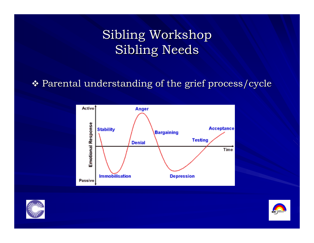#### $\boldsymbol{\cdot}$  Parental understanding of the grief process/cycle





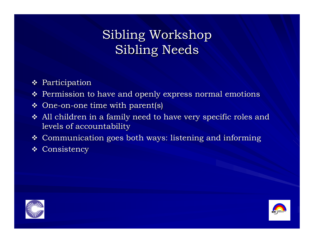- $\div$  Participation
- $\boldsymbol{\cdot\!\!\!\cdot}$  Permission to have and openly express normal emotions
- $\bm{\hat{v}}$  One-on-one time with parent(s)
- $\boldsymbol{\cdot}$  All children in a family need to have very specific roles and levels of accountability
- $\boldsymbol{\hat{z}}$  Communication goes both ways: listening and informing
- $\mathbf \bullet$  Consistency



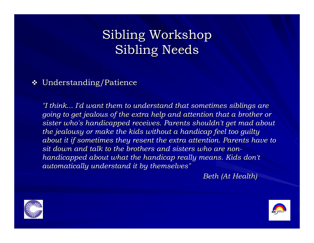#### $\boldsymbol{\cdot\!\!\!\cdot}$  Understanding/Patience

*"I think... I'd want them to understand that sometimes siblings are going to get jealous of the extra help and attention that a brother or sister who's handicapped receives sister who's handicapped receives. Parents shouldn't get mad abo . Parents shouldn't get mad about the jealousy or make the kids wi the jealousy or the kids without a handicap feel too guilty thout a handicap feel too guilty about it if sometimes they resent the extra attention. Parents have to sit down and talk to the brothers and sisters who are non sit down and talk to the brothers and sisters who are nonhandicapped about what the handicap really means. Kids don't automatically understand it by themselves" automatically understand it by themselves"* 

*Beth (At Health) Beth (At Health)*



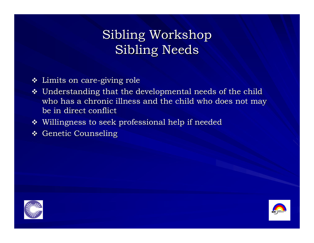- $\boldsymbol{\dot{*}}$  Limits on care-giving role
- $\boldsymbol{\cdot}$  Understanding that the developmental needs of the child who has a chronic illness and the child who does not may be in direct conflict
- $\boldsymbol{\cdot}$  Willingness to seek professional help if needed
- $\boldsymbol{\cdot\!\!\!\cdot}\,$  Genetic Counseling



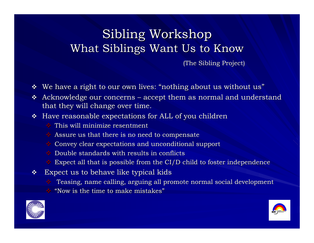(The Sibling Project) (The Sibling Project)

- $\boldsymbol{\cdot}$  We have a right to our own lives: "nothing about us without us"
- $\boldsymbol{\cdot}$  Acknowledge our concerns accept them as normal and understand  $\boldsymbol{\cdot}$ that they will change over time.
- $\bm{\hat{B}}$  Have reasonable expectations for ALL of you children
	- $\cdot$  This will minimize resentment
	- $\bullet$  Assure us that there is no need to compensate
	- $\bullet$  Convey clear expectations and unconditional support
	- $\bullet$  Double standards with results in conflicts
	- $\bullet$  Expect all that is possible from the CI/D child to foster independence
- $\mathcal{L}(\mathbf{z})$  . Expect us to behave like typical kids Expect us to behave like typical kids
	- $\bullet$  Teasing, name calling, arguing all promote normal social development
	- $\bullet$  "Now is the time to make mistakes"



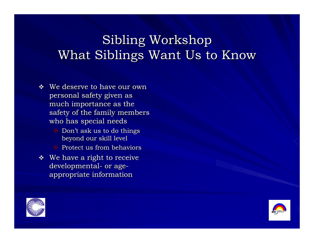- $\mathbf{\hat{y}}$  We deserve to have our own personal safety given as much importance as the safety of the family members who has special needs
	- $\bullet$  Don't ask us to do things beyond our skill level beyond our skill level
	- $\rightarrow$  Protect us from behaviors
- $\bullet\;\;$  We have a right to receive developmental- or ageappropriate information appropriate information



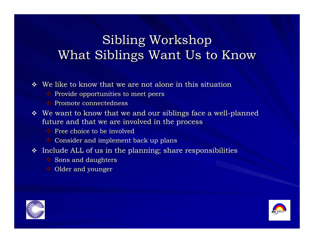$\ddot{\bullet}$  We like to know that we are not alone in this situation

- $\bullet$  Provide opportunities to meet peers
- $\rightarrow$  Promote connectedness
- $\bullet\;\;$  We want to know that we and our siblings face a well-planned future and that we are involved in the process
	- $\rightarrow$  Free choice to be involved
	- $\bullet$  Consider and implement back up plans
- $\bm{\hat{*}}$  Include ALL of us in the planning; share responsibilities  $\bm{\hat{t}}$ 
	- $\bullet$  Sons and daughters
	- $\blacklozenge$  Older and younger



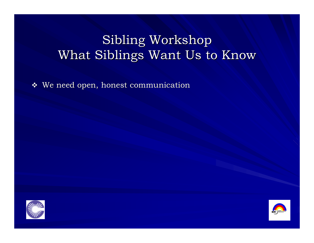$\boldsymbol{\cdot}$  We need open, honest communication



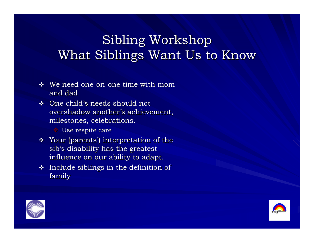- $\cdot$  We need one-on-one time with mom and dad
- $\div$  One child's needs should not overshadow another's achievement, milestones, celebrations.

Use respite care Use respite care

- $\boldsymbol{\cdot}$  Your (parents') interpretation of the  $\boldsymbol{\cdot}$ sib's disability has the greatest influence on our ability to adapt.
- $\cdot$  Include siblings in the definition of family



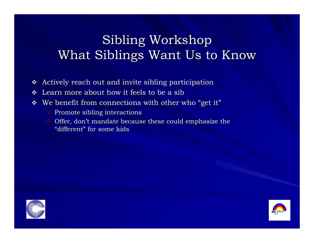- $\frac{1}{2}$ Actively reach out and invite sibling participation
- $\mathbf{v}_i^{\mathbf{e}_i}$ Learn more about how it feels to be a sib
- $\mathcal{L}(\mathbf{r})$  $\boldsymbol{\cdot}$  We benefit from connections with other who "get it"
	- $\bullet$  Promote sibling interactions
	- $\bullet$  Offer, don't mandate because these could emphasize the "different" for some kids



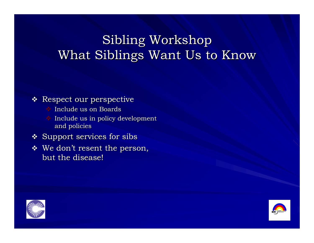#### $\boldsymbol{\cdot\!\!\!\cdot}\hspace{0.2cm}$  Respect our perspective

- $\bullet$  Include us on Boards
- $\bullet$  Include us in policy development and policies
- $\boldsymbol{\hat{z}}$  Support services for sibs
- $\boldsymbol{\hat{v}}$  We don't resent the person, but the disease!



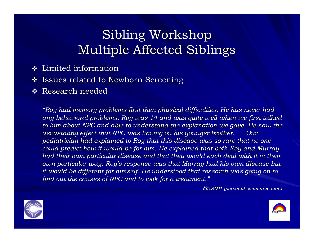# Sibling Workshop Multiple Affected Siblings Multiple Affected Siblings

- $\boldsymbol{\cdot}$  Limited information
- $\boldsymbol{\cdot}$  Issues related to Newborn Screening
- $\mathbf{\hat{P}}$  Research needed

*"Roy had memory problems first then physical difficulties. He has never had any behavioral problems. Roy was any behavioral problems. Roy was 14 and was quite well when we f 14 and was quite well when we first talked irst talked to him about NPC and able to und to him about NPC and able to understand the explanation we gave. erstand the explanation we gave.He saw the He saw the devastating effect that NPC was having on his younger brother. Our pediatrician had explained to Roy that this disease was so rare that no one could predict how it would be for him. He explained that both Roy and Murray had their own particular disease and that they would each deal with it in their own particular way. Roy's response was that Murray had his own disease but it would be different for himself. He understood that research was going on to find out the causes of NPC and to look for a treatment. find out the causes of NPC and to look for a treatment. "*

*Susan (personal communication) (personal communication)*



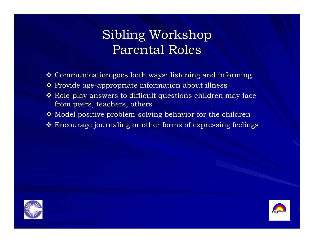## Sibling Workshop Parental Roles

- $\boldsymbol{\cdot}$  Communication goes both ways: listening and informing
- $\clubsuit$  Provide age-appropriate information about illness
- $\boldsymbol{\cdot}$  Role-play answers to difficult questions children may face from peers, teachers, others
- $\clubsuit$  Model positive problem-solving behavior for the children
- $\clubsuit$  Encourage journaling or other forms of expressing feelings



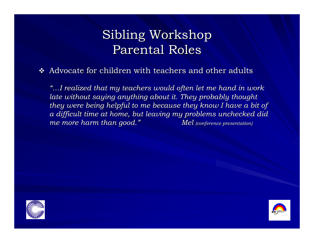## Sibling Workshop Parental Roles

 $\boldsymbol{\cdot}$  Advocate for children with teachers and other adults

*"…I realized that my teachers would often let me hand in work I realized that my teachers would often let me hand in work late without saying anything about it. They probably thought they were being helpful to me because they know I have a bit of a difficult time at home, but leav a difficult time at home, but leaving my problems unchecked did ing my problems unchecked did me more harm than good. me more harm than good. " Mel (conference presentation) (conference presentation)*



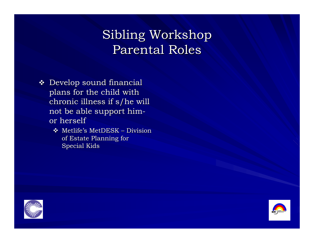## Sibling Workshop Parental Roles

- $\bm{\hat{v}}$  Develop sound financial plans for the child with plans for the child with chronic illness if s/he will not be able support him or herself
	- $\clubsuit$  Metlife's MetDESK Division of Estate Planning for Special Kids



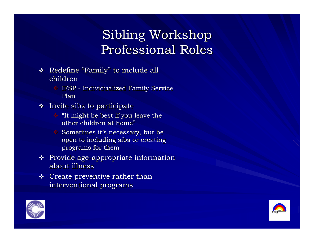# Sibling Workshop Professional Roles

- $\bullet$  Redefine "Family" to include all children
	- $\bullet$  IFSP Individualized Family Service Plan
- $\cdot$  Invite sibs to participate
	- $\cdot$  "It might be best if you leave the other children at home"
	- $\bullet$  Sometimes it's necessary, but be open to including sibs or creating programs for them
- $\bullet\;$  Provide age-appropriate information about illness
- $\div$  Create preventive rather than interventional programs



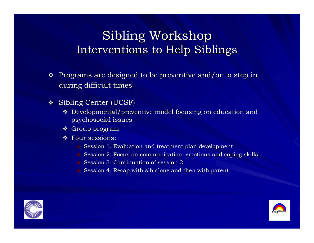#### Sibling Workshop Interventions to Help Siblings

- $\boldsymbol{\cdot}$  Programs are designed to be preventive and/or to step in during difficult times
- $\boldsymbol{\hat{S}}$  Sibling Center (UCSF)
	- $\boldsymbol{\cdot}$  Developmental/preventive model focusing on education and psychosocial issues psychosocial issues
	- Group program
	- $\hat{\mathbf{v}}$  Four sessions:
		- $\bullet$  Session 1. Evaluation and treatment plan development
		- $\bullet$  Session 2. Focus on communication, emotions and coping skills
		- **◆ Session 3. Continuation of session 2**
		- $\bullet$  Session 4. Recap with sib alone and then with parent



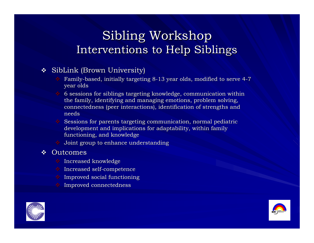#### Sibling Workshop Interventions to Help Siblings

#### $\boldsymbol{\hat{y}}$  SibLink (Brown University)

- Family-based, initially targeting 8-13 year olds, modified to serve 4-7 year olds
- $\bullet$  6 sessions for siblings targeting knowledge, communication within the family, identifying and managing emotions, problem solving, connectedness (peer interactions), identification of strengths and needs
- $\bullet$  Sessions for parents targeting communication, normal pediatric development and implications for adaptability, within family functioning, and knowledge
- $\bullet$  Joint group to enhance understanding

#### $\div$  Outcomes

- Increased knowledge Increased knowledge
- $\bullet$  Increased self-competence
- $\cdot$  Improved social functioning
- Improved connectedness Improved connectedness



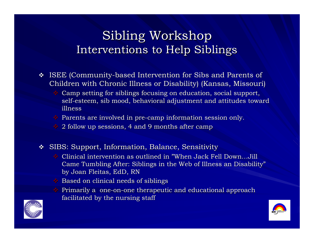#### Sibling Workshop Interventions to Help Siblings

- $\div$  ISEE (Community-based Intervention for Sibs and Parents of Children with Chronic Illness or Disability) (Kansas, Missouri)
	- Camp setting for siblings focusing on education, social support, self-esteem, sib mood, behavioral adjustment and attitudes toward illness
	- $\bullet$  Parents are involved in pre-camp information session only.
	- $\cdot$  2 follow up sessions, 4 and 9 months after camp
- $\textcolor{red}{\bm{\hat{}}\bm{\hat{y}}}$  SIBS: Support, Information, Balance, Sensitivity
	- $\triangle$  Clinical intervention as outlined in "When Jack Fell Down...Jill Came Tumbling After: Siblings in the Web of Illness an Disability" by Joan Fleitas, EdD, RN
	- $\bullet$  Based on clinical needs of siblings
	- $\bullet$  Primarily a one-on-one therapeutic and educational approach facilitated by the nursing staff